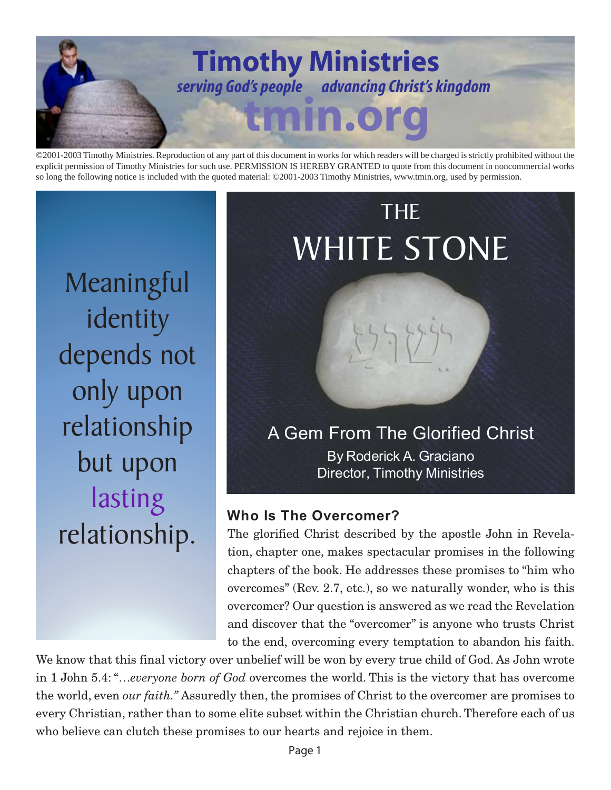

©2001-2003 Timothy Ministries. Reproduction of any part of this document in works for which readers will be charged is strictly prohibited without the explicit permission of Timothy Ministries for such use. PERMISSION IS HEREBY GRANTED to quote from this document in noncommercial works so long the following notice is included with the quoted material: ©2001-2003 Timothy Ministries, www.tmin.org, used by permission.

**Meaningful** identity depends not only upon relationship but upon lasting relationship.

# By Roderick A. Graciano Director, Timothy Ministries THE WHITE STONE A Gem From The Glorified Christ

# **Who Is The Overcomer?**

The glorified Christ described by the apostle John in Revelation, chapter one, makes spectacular promises in the following chapters of the book. He addresses these promises to "him who overcomes" (Rev. 2.7, etc.), so we naturally wonder, who is this overcomer? Our question is answered as we read the Revelation and discover that the "overcomer" is anyone who trusts Christ to the end, overcoming every temptation to abandon his faith.

We know that this final victory over unbelief will be won by every true child of God. As John wrote in 1 John 5.4: "…*everyone born of God* overcomes the world. This is the victory that has overcome the world, even *our faith."* Assuredly then, the promises of Christ to the overcomer are promises to every Christian, rather than to some elite subset within the Christian church. Therefore each of us who believe can clutch these promises to our hearts and rejoice in them.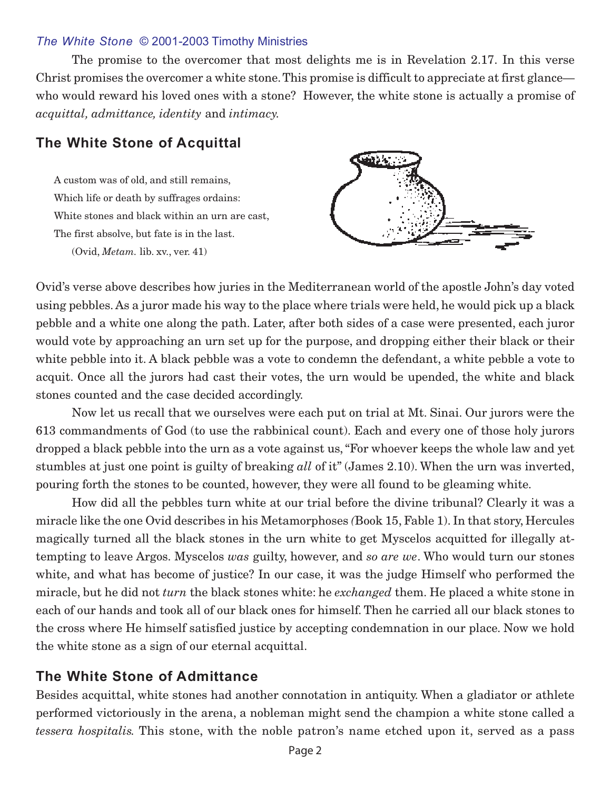#### *The White Stone* © 2001-2003 Timothy Ministries

The promise to the overcomer that most delights me is in Revelation 2.17. In this verse Christ promises the overcomer a white stone. This promise is difficult to appreciate at first glance who would reward his loved ones with a stone? However, the white stone is actually a promise of *acquittal, admittance, identity* and *intimacy.*

## **The White Stone of Acquittal**

A custom was of old, and still remains, Which life or death by suffrages ordains: White stones and black within an urn are cast, The first absolve, but fate is in the last. (Ovid, *Metam.* lib. xv., ver. 41)



Ovid's verse above describes how juries in the Mediterranean world of the apostle John's day voted using pebbles. As a juror made his way to the place where trials were held, he would pick up a black pebble and a white one along the path. Later, after both sides of a case were presented, each juror would vote by approaching an urn set up for the purpose, and dropping either their black or their white pebble into it. A black pebble was a vote to condemn the defendant, a white pebble a vote to acquit. Once all the jurors had cast their votes, the urn would be upended, the white and black stones counted and the case decided accordingly.

Now let us recall that we ourselves were each put on trial at Mt. Sinai. Our jurors were the 613 commandments of God (to use the rabbinical count). Each and every one of those holy jurors dropped a black pebble into the urn as a vote against us, "For whoever keeps the whole law and yet stumbles at just one point is guilty of breaking *all* of it" (James 2.10). When the urn was inverted, pouring forth the stones to be counted, however, they were all found to be gleaming white.

How did all the pebbles turn white at our trial before the divine tribunal? Clearly it was a miracle like the one Ovid describes in his Metamorphoses *(*Book 15, Fable 1). In that story, Hercules magically turned all the black stones in the urn white to get Myscelos acquitted for illegally attempting to leave Argos. Myscelos *was* guilty, however, and *so are we*. Who would turn our stones white, and what has become of justice? In our case, it was the judge Himself who performed the miracle, but he did not *turn* the black stones white: he *exchanged* them. He placed a white stone in each of our hands and took all of our black ones for himself. Then he carried all our black stones to the cross where He himself satisfied justice by accepting condemnation in our place. Now we hold the white stone as a sign of our eternal acquittal.

## **The White Stone of Admittance**

Besides acquittal, white stones had another connotation in antiquity. When a gladiator or athlete performed victoriously in the arena, a nobleman might send the champion a white stone called a *tessera hospitalis.* This stone, with the noble patron's name etched upon it, served as a pass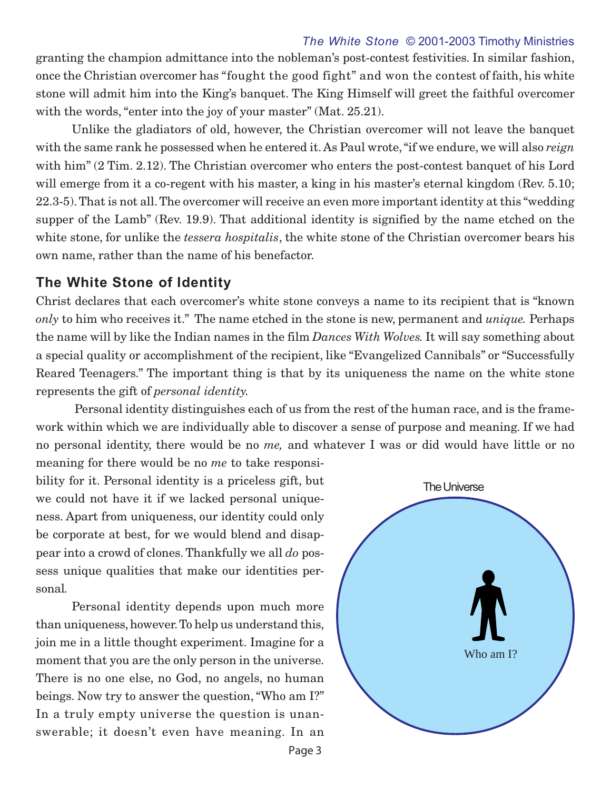#### *The White Stone* © 2001-2003 Timothy Ministries

granting the champion admittance into the nobleman's post-contest festivities. In similar fashion, once the Christian overcomer has "fought the good fight" and won the contest of faith, his white stone will admit him into the King's banquet. The King Himself will greet the faithful overcomer with the words, "enter into the joy of your master" (Mat. 25.21).

Unlike the gladiators of old, however, the Christian overcomer will not leave the banquet with the same rank he possessed when he entered it. As Paul wrote, "if we endure, we will also *reign* with him" (2 Tim. 2.12). The Christian overcomer who enters the post-contest banquet of his Lord will emerge from it a co-regent with his master, a king in his master's eternal kingdom (Rev. 5.10; 22.3-5). That is not all. The overcomer will receive an even more important identity at this "wedding supper of the Lamb" (Rev. 19.9). That additional identity is signified by the name etched on the white stone, for unlike the *tessera hospitalis*, the white stone of the Christian overcomer bears his own name, rather than the name of his benefactor.

### **The White Stone of Identity**

Christ declares that each overcomer's white stone conveys a name to its recipient that is "known *only* to him who receives it." The name etched in the stone is new, permanent and *unique.* Perhaps the name will by like the Indian names in the film *Dances With Wolves.* It will say something about a special quality or accomplishment of the recipient, like "Evangelized Cannibals" or "Successfully Reared Teenagers." The important thing is that by its uniqueness the name on the white stone represents the gift of *personal identity.*

Personal identity distinguishes each of us from the rest of the human race, and is the framework within which we are individually able to discover a sense of purpose and meaning. If we had no personal identity, there would be no *me,* and whatever I was or did would have little or no

meaning for there would be no *me* to take responsibility for it. Personal identity is a priceless gift, but we could not have it if we lacked personal uniqueness. Apart from uniqueness, our identity could only be corporate at best, for we would blend and disappear into a crowd of clones. Thankfully we all *do* possess unique qualities that make our identities personal*.*

Personal identity depends upon much more than uniqueness, however. To help us understand this, join me in a little thought experiment. Imagine for a moment that you are the only person in the universe. There is no one else, no God, no angels, no human beings. Now try to answer the question, "Who am I?" In a truly empty universe the question is unanswerable; it doesn't even have meaning. In an

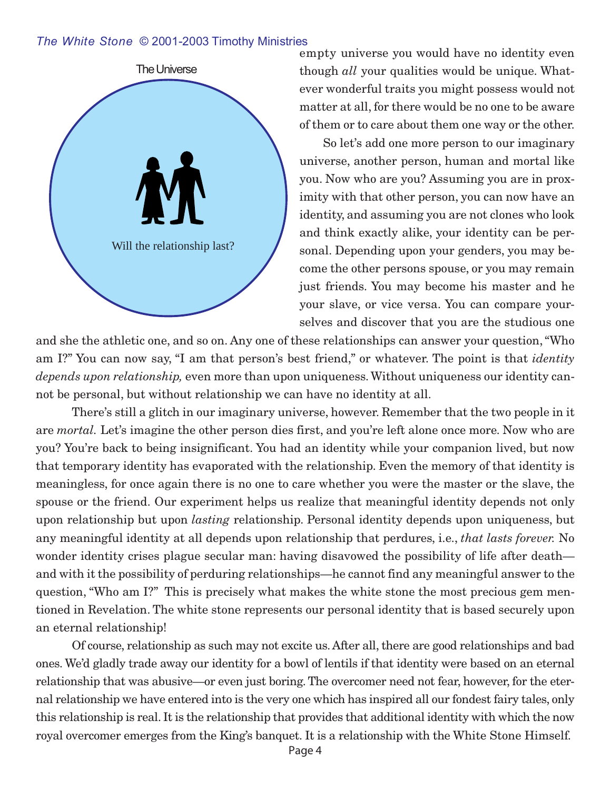#### *The White Stone* © 2001-2003 Timothy Ministries



empty universe you would have no identity even though *all* your qualities would be unique. Whatever wonderful traits you might possess would not matter at all, for there would be no one to be aware of them or to care about them one way or the other.

So let's add one more person to our imaginary universe, another person, human and mortal like you. Now who are you? Assuming you are in proximity with that other person, you can now have an identity, and assuming you are not clones who look and think exactly alike, your identity can be personal. Depending upon your genders, you may become the other persons spouse, or you may remain just friends. You may become his master and he your slave, or vice versa. You can compare yourselves and discover that you are the studious one

and she the athletic one, and so on. Any one of these relationships can answer your question, "Who am I?" You can now say, "I am that person's best friend," or whatever. The point is that *identity depends upon relationship,* even more than upon uniqueness. Without uniqueness our identity cannot be personal, but without relationship we can have no identity at all.

There's still a glitch in our imaginary universe, however. Remember that the two people in it are *mortal.* Let's imagine the other person dies first, and you're left alone once more. Now who are you? You're back to being insignificant. You had an identity while your companion lived, but now that temporary identity has evaporated with the relationship. Even the memory of that identity is meaningless, for once again there is no one to care whether you were the master or the slave, the spouse or the friend. Our experiment helps us realize that meaningful identity depends not only upon relationship but upon *lasting* relationship. Personal identity depends upon uniqueness, but any meaningful identity at all depends upon relationship that perdures, i.e., *that lasts forever.* No wonder identity crises plague secular man: having disavowed the possibility of life after death and with it the possibility of perduring relationships—he cannot find any meaningful answer to the question, "Who am I?" This is precisely what makes the white stone the most precious gem mentioned in Revelation. The white stone represents our personal identity that is based securely upon an eternal relationship!

Of course, relationship as such may not excite us. After all, there are good relationships and bad ones. We'd gladly trade away our identity for a bowl of lentils if that identity were based on an eternal relationship that was abusive—or even just boring. The overcomer need not fear, however, for the eternal relationship we have entered into is the very one which has inspired all our fondest fairy tales, only this relationship is real. It is the relationship that provides that additional identity with which the now royal overcomer emerges from the King's banquet. It is a relationship with the White Stone Himself.